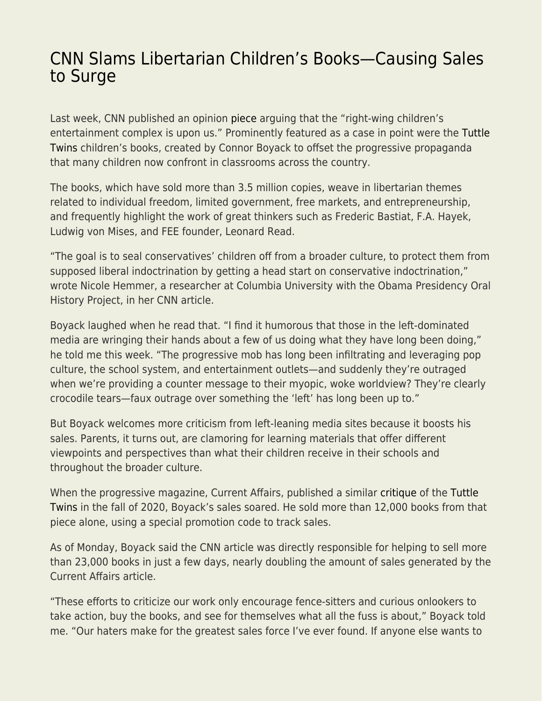## [CNN Slams Libertarian Children's Books—Causing Sales](https://everything-voluntary.com/cnn-slams-libertarian-childrens-books-causing-sales-to-surge) [to Surge](https://everything-voluntary.com/cnn-slams-libertarian-childrens-books-causing-sales-to-surge)

Last week, CNN published an opinion [piece](https://www.cnn.com/2022/04/07/opinions/children-literature-disney-desantis-tuttle-twins-hemmer/index.html) arguing that the "right-wing children's entertainment complex is upon us." Prominently featured as a case in point were the [Tuttle](https://tuttletwins.com/ref/skylerjcollins/) [Twins](https://tuttletwins.com/ref/skylerjcollins/) children's books, created by Connor Boyack to offset the progressive propaganda that many children now confront in classrooms across the country.

The books, which have sold more than 3.5 million copies, weave in libertarian themes related to individual freedom, limited government, free markets, and entrepreneurship, and frequently highlight the work of great thinkers such as Frederic Bastiat, F.A. Hayek, Ludwig von Mises, and FEE founder, Leonard Read.

"The goal is to seal conservatives' children off from a broader culture, to protect them from supposed liberal indoctrination by getting a head start on conservative indoctrination," wrote Nicole Hemmer, a researcher at Columbia University with the Obama Presidency Oral History Project, in her CNN article.

Boyack laughed when he read that. "I find it humorous that those in the left-dominated media are wringing their hands about a few of us doing what they have long been doing," he told me this week. "The progressive mob has long been infiltrating and leveraging pop culture, the school system, and entertainment outlets—and suddenly they're outraged when we're providing a counter message to their myopic, woke worldview? They're clearly crocodile tears—faux outrage over something the 'left' has long been up to."

But Boyack welcomes more criticism from left-leaning media sites because it boosts his sales. Parents, it turns out, are clamoring for learning materials that offer different viewpoints and perspectives than what their children receive in their schools and throughout the broader culture.

When the progressive magazine, Current Affairs, published a similar [critique](https://fee.org/articles/socialist-critique-of-libertarian-children-s-books-drives-massive-surge-in-sales/) of the [Tuttle](https://tuttletwins.com/ref/skylerjcollins/) [Twins](https://tuttletwins.com/ref/skylerjcollins/) in the fall of 2020, Boyack's sales soared. He sold more than 12,000 books from that piece alone, using a special promotion code to track sales.

As of Monday, Boyack said the CNN article was directly responsible for helping to sell more than 23,000 books in just a few days, nearly doubling the amount of sales generated by the Current Affairs article.

"These efforts to criticize our work only encourage fence-sitters and curious onlookers to take action, buy the books, and see for themselves what all the fuss is about," Boyack told me. "Our haters make for the greatest sales force I've ever found. If anyone else wants to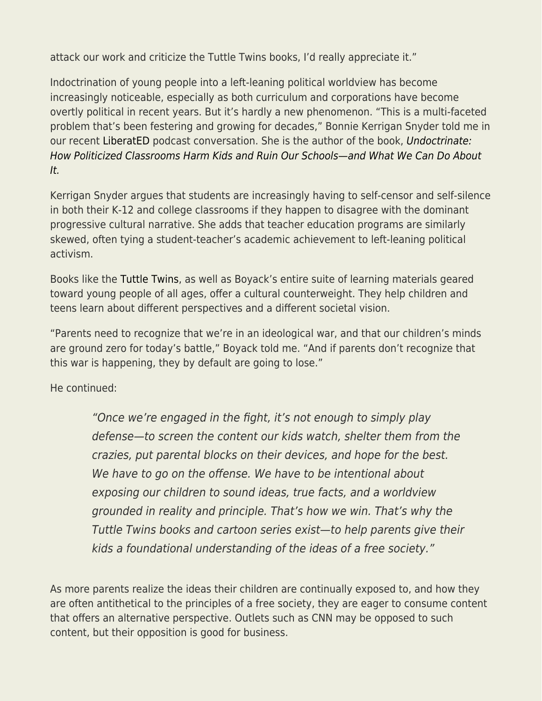attack our work and criticize the Tuttle Twins books, I'd really appreciate it."

Indoctrination of young people into a left-leaning political worldview has become increasingly noticeable, especially as both curriculum and corporations have become overtly political in recent years. But it's hardly a new phenomenon. "This is a multi-faceted problem that's been festering and growing for decades," Bonnie Kerrigan Snyder told me in our recent [LiberatED](https://podcasts.apple.com/us/podcast/liberated-podcast/id1608978473?i=1000554856242) podcast conversation. She is the author of the book, [Undoctrinate:](https://amzn.to/3L6CWuh) [How Politicized Classrooms Harm Kids and Ruin Our Schools—and What We Can Do About](https://amzn.to/3L6CWuh) [It.](https://amzn.to/3L6CWuh)

Kerrigan Snyder argues that students are increasingly having to self-censor and self-silence in both their K-12 and college classrooms if they happen to disagree with the dominant progressive cultural narrative. She adds that teacher education programs are similarly skewed, often tying a student-teacher's academic achievement to left-leaning political activism.

Books like the [Tuttle Twins,](https://tuttletwins.com/ref/skylerjcollins/) as well as Boyack's entire suite of learning materials geared toward young people of all ages, offer a cultural counterweight. They help children and teens learn about different perspectives and a different societal vision.

"Parents need to recognize that we're in an ideological war, and that our children's minds are ground zero for today's battle," Boyack told me. "And if parents don't recognize that this war is happening, they by default are going to lose."

He continued:

"Once we're engaged in the fight, it's not enough to simply play defense—to screen the content our kids watch, shelter them from the crazies, put parental blocks on their devices, and hope for the best. We have to go on the offense. We have to be intentional about exposing our children to sound ideas, true facts, and a worldview grounded in reality and principle. That's how we win. That's why the Tuttle Twins books and cartoon series exist—to help parents give their kids a foundational understanding of the ideas of a free society."

As more parents realize the ideas their children are continually exposed to, and how they are often antithetical to the principles of a free society, they are eager to consume content that offers an alternative perspective. Outlets such as CNN may be opposed to such content, but their opposition is good for business.